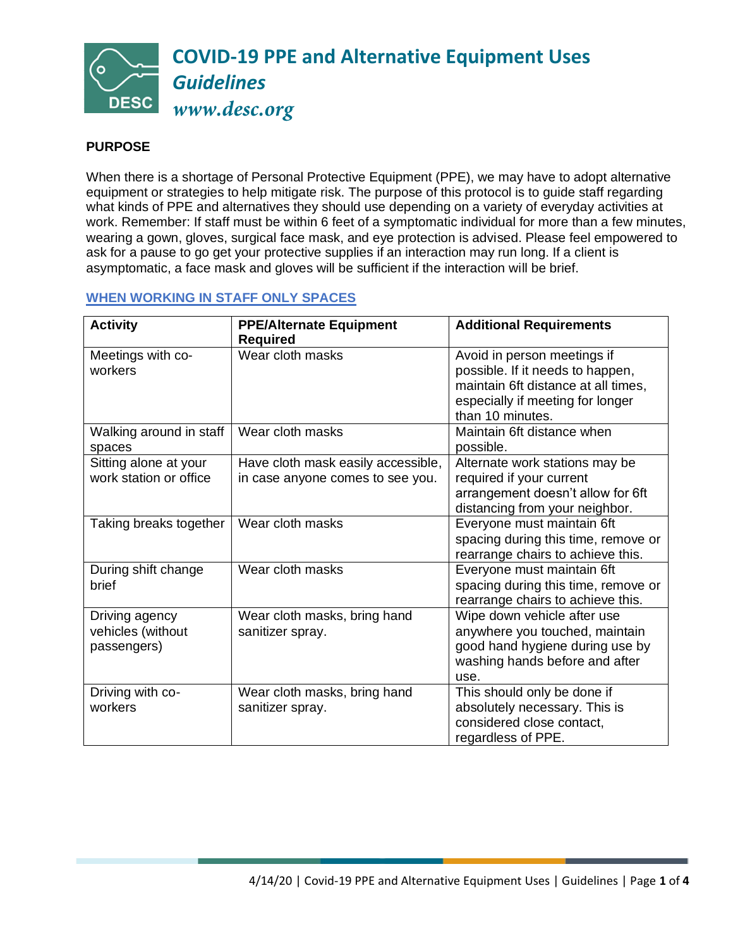

## **PURPOSE**

When there is a shortage of Personal Protective Equipment (PPE), we may have to adopt alternative equipment or strategies to help mitigate risk. The purpose of this protocol is to guide staff regarding what kinds of PPE and alternatives they should use depending on a variety of everyday activities at work. Remember: If staff must be within 6 feet of a symptomatic individual for more than a few minutes, wearing a gown, gloves, surgical face mask, and eye protection is advised. Please feel empowered to ask for a pause to go get your protective supplies if an interaction may run long. If a client is asymptomatic, a face mask and gloves will be sufficient if the interaction will be brief.

## **WHEN WORKING IN STAFF ONLY SPACES**

| <b>Activity</b>                                    | <b>PPE/Alternate Equipment</b><br><b>Required</b>                      | <b>Additional Requirements</b>                                                                                                                                 |
|----------------------------------------------------|------------------------------------------------------------------------|----------------------------------------------------------------------------------------------------------------------------------------------------------------|
| Meetings with co-<br>workers                       | Wear cloth masks                                                       | Avoid in person meetings if<br>possible. If it needs to happen,<br>maintain 6ft distance at all times,<br>especially if meeting for longer<br>than 10 minutes. |
| Walking around in staff<br>spaces                  | Wear cloth masks                                                       | Maintain 6ft distance when<br>possible.                                                                                                                        |
| Sitting alone at your<br>work station or office    | Have cloth mask easily accessible,<br>in case anyone comes to see you. | Alternate work stations may be<br>required if your current<br>arrangement doesn't allow for 6ft<br>distancing from your neighbor.                              |
| Taking breaks together                             | Wear cloth masks                                                       | Everyone must maintain 6ft<br>spacing during this time, remove or<br>rearrange chairs to achieve this.                                                         |
| During shift change<br>brief                       | Wear cloth masks                                                       | Everyone must maintain 6ft<br>spacing during this time, remove or<br>rearrange chairs to achieve this.                                                         |
| Driving agency<br>vehicles (without<br>passengers) | Wear cloth masks, bring hand<br>sanitizer spray.                       | Wipe down vehicle after use<br>anywhere you touched, maintain<br>good hand hygiene during use by<br>washing hands before and after<br>use.                     |
| Driving with co-<br>workers                        | Wear cloth masks, bring hand<br>sanitizer spray.                       | This should only be done if<br>absolutely necessary. This is<br>considered close contact,<br>regardless of PPE.                                                |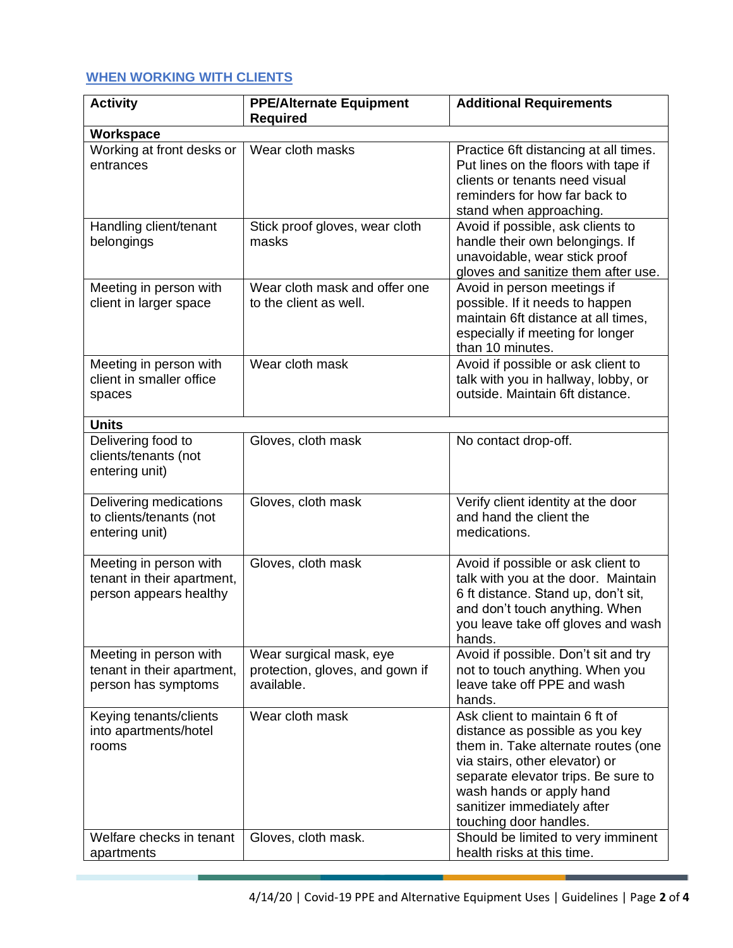## **WHEN WORKING WITH CLIENTS**

| <b>Activity</b>                                                                | <b>PPE/Alternate Equipment</b>                                           | <b>Additional Requirements</b>                                                                                                                                                                                                                                         |
|--------------------------------------------------------------------------------|--------------------------------------------------------------------------|------------------------------------------------------------------------------------------------------------------------------------------------------------------------------------------------------------------------------------------------------------------------|
|                                                                                | <b>Required</b>                                                          |                                                                                                                                                                                                                                                                        |
| Workspace                                                                      |                                                                          |                                                                                                                                                                                                                                                                        |
| Working at front desks or<br>entrances                                         | Wear cloth masks                                                         | Practice 6ft distancing at all times.<br>Put lines on the floors with tape if<br>clients or tenants need visual<br>reminders for how far back to<br>stand when approaching.                                                                                            |
| Handling client/tenant<br>belongings                                           | Stick proof gloves, wear cloth<br>masks                                  | Avoid if possible, ask clients to<br>handle their own belongings. If<br>unavoidable, wear stick proof<br>gloves and sanitize them after use.                                                                                                                           |
| Meeting in person with<br>client in larger space                               | Wear cloth mask and offer one<br>to the client as well.                  | Avoid in person meetings if<br>possible. If it needs to happen<br>maintain 6ft distance at all times,<br>especially if meeting for longer<br>than 10 minutes.                                                                                                          |
| Meeting in person with<br>client in smaller office<br>spaces                   | Wear cloth mask                                                          | Avoid if possible or ask client to<br>talk with you in hallway, lobby, or<br>outside. Maintain 6ft distance.                                                                                                                                                           |
| <b>Units</b>                                                                   |                                                                          |                                                                                                                                                                                                                                                                        |
| Delivering food to<br>clients/tenants (not<br>entering unit)                   | Gloves, cloth mask                                                       | No contact drop-off.                                                                                                                                                                                                                                                   |
| Delivering medications<br>to clients/tenants (not<br>entering unit)            | Gloves, cloth mask                                                       | Verify client identity at the door<br>and hand the client the<br>medications.                                                                                                                                                                                          |
| Meeting in person with<br>tenant in their apartment,<br>person appears healthy | Gloves, cloth mask                                                       | Avoid if possible or ask client to<br>talk with you at the door. Maintain<br>6 ft distance. Stand up, don't sit,<br>and don't touch anything. When<br>you leave take off gloves and wash<br>hands.                                                                     |
| Meeting in person with<br>tenant in their apartment,<br>person has symptoms    | Wear surgical mask, eye<br>protection, gloves, and gown if<br>available. | Avoid if possible. Don't sit and try<br>not to touch anything. When you<br>leave take off PPE and wash<br>hands.                                                                                                                                                       |
| Keying tenants/clients<br>into apartments/hotel<br>rooms                       | Wear cloth mask                                                          | Ask client to maintain 6 ft of<br>distance as possible as you key<br>them in. Take alternate routes (one<br>via stairs, other elevator) or<br>separate elevator trips. Be sure to<br>wash hands or apply hand<br>sanitizer immediately after<br>touching door handles. |
| Welfare checks in tenant<br>apartments                                         | Gloves, cloth mask.                                                      | Should be limited to very imminent<br>health risks at this time.                                                                                                                                                                                                       |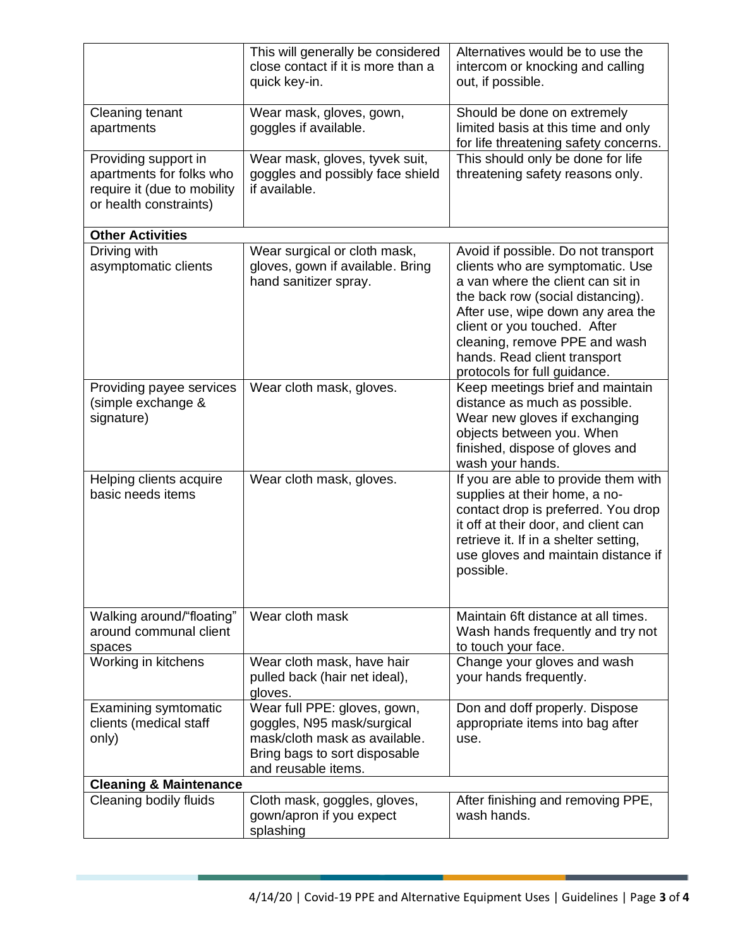|                                                                                                           | This will generally be considered<br>close contact if it is more than a<br>quick key-in.                                                            | Alternatives would be to use the<br>intercom or knocking and calling<br>out, if possible.                                                                                                                                                                                                                               |  |  |
|-----------------------------------------------------------------------------------------------------------|-----------------------------------------------------------------------------------------------------------------------------------------------------|-------------------------------------------------------------------------------------------------------------------------------------------------------------------------------------------------------------------------------------------------------------------------------------------------------------------------|--|--|
| Cleaning tenant<br>apartments                                                                             | Wear mask, gloves, gown,<br>goggles if available.                                                                                                   | Should be done on extremely<br>limited basis at this time and only<br>for life threatening safety concerns.                                                                                                                                                                                                             |  |  |
| Providing support in<br>apartments for folks who<br>require it (due to mobility<br>or health constraints) | Wear mask, gloves, tyvek suit,<br>goggles and possibly face shield<br>if available.                                                                 | This should only be done for life<br>threatening safety reasons only.                                                                                                                                                                                                                                                   |  |  |
| <b>Other Activities</b>                                                                                   |                                                                                                                                                     |                                                                                                                                                                                                                                                                                                                         |  |  |
| Driving with<br>asymptomatic clients                                                                      | Wear surgical or cloth mask,<br>gloves, gown if available. Bring<br>hand sanitizer spray.                                                           | Avoid if possible. Do not transport<br>clients who are symptomatic. Use<br>a van where the client can sit in<br>the back row (social distancing).<br>After use, wipe down any area the<br>client or you touched. After<br>cleaning, remove PPE and wash<br>hands. Read client transport<br>protocols for full guidance. |  |  |
| Providing payee services<br>(simple exchange &<br>signature)                                              | Wear cloth mask, gloves.                                                                                                                            | Keep meetings brief and maintain<br>distance as much as possible.<br>Wear new gloves if exchanging<br>objects between you. When<br>finished, dispose of gloves and<br>wash your hands.                                                                                                                                  |  |  |
| Helping clients acquire<br>basic needs items                                                              | Wear cloth mask, gloves.                                                                                                                            | If you are able to provide them with<br>supplies at their home, a no-<br>contact drop is preferred. You drop<br>it off at their door, and client can<br>retrieve it. If in a shelter setting,<br>use gloves and maintain distance if<br>possible.                                                                       |  |  |
| Walking around/"floating"<br>around communal client<br>spaces                                             | Wear cloth mask                                                                                                                                     | Maintain 6ft distance at all times.<br>Wash hands frequently and try not<br>to touch your face.                                                                                                                                                                                                                         |  |  |
| Working in kitchens                                                                                       | Wear cloth mask, have hair<br>pulled back (hair net ideal),<br>gloves.                                                                              | Change your gloves and wash<br>your hands frequently.                                                                                                                                                                                                                                                                   |  |  |
| <b>Examining symtomatic</b><br>clients (medical staff<br>only)                                            | Wear full PPE: gloves, gown,<br>goggles, N95 mask/surgical<br>mask/cloth mask as available.<br>Bring bags to sort disposable<br>and reusable items. | Don and doff properly. Dispose<br>appropriate items into bag after<br>use.                                                                                                                                                                                                                                              |  |  |
| <b>Cleaning &amp; Maintenance</b>                                                                         |                                                                                                                                                     |                                                                                                                                                                                                                                                                                                                         |  |  |
| Cleaning bodily fluids                                                                                    | Cloth mask, goggles, gloves,<br>gown/apron if you expect<br>splashing                                                                               | After finishing and removing PPE,<br>wash hands.                                                                                                                                                                                                                                                                        |  |  |

**COL**